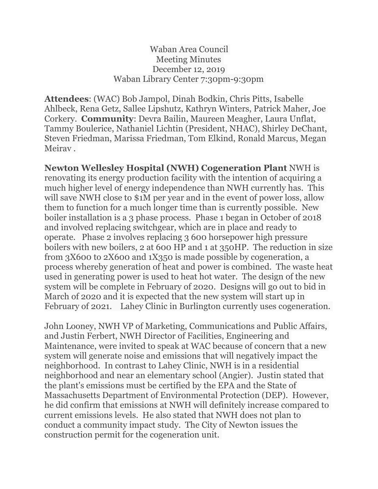## Waban Area Council Meeting Minutes December 12, 2019 Waban Library Center 7:30pm-9:30pm

**Attendees**: (WAC) Bob Jampol, Dinah Bodkin, Chris Pitts, Isabelle Ahlbeck, Rena Getz, Sallee Lipshutz, Kathryn Winters, Patrick Maher, Joe Corkery. **Community**: Devra Bailin, Maureen Meagher, Laura Unflat, Tammy Boulerice, Nathaniel Lichtin (President, NHAC), Shirley DeChant, Steven Friedman, Marissa Friedman, Tom Elkind, Ronald Marcus, Megan Meirav .

**Newton Wellesley Hospital (NWH) Cogeneration Plant** NWH is renovating its energy production facility with the intention of acquiring a much higher level of energy independence than NWH currently has. This will save NWH close to \$1M per year and in the event of power loss, allow them to function for a much longer time than is currently possible. New boiler installation is a 3 phase process. Phase 1 began in October of 2018 and involved replacing switchgear, which are in place and ready to operate. Phase 2 involves replacing 3 600 horsepower high pressure boilers with new boilers, 2 at 600 HP and 1 at 350HP. The reduction in size from 3X600 to 2X600 and 1X350 is made possible by cogeneration, a process whereby generation of heat and power is combined. The waste heat used in generating power is used to heat hot water. The design of the new system will be complete in February of 2020. Designs will go out to bid in March of 2020 and it is expected that the new system will start up in February of 2021. Lahey Clinic in Burlington currently uses cogeneration.

John Looney, NWH VP of Marketing, Communications and Public Affairs, and Justin Ferbert, NWH Director of Facilities, Engineering and Maintenance, were invited to speak at WAC because of concern that a new system will generate noise and emissions that will negatively impact the neighborhood. In contrast to Lahey Clinic, NWH is in a residential neighborhood and near an elementary school (Angier). Justin stated that the plant's emissions must be certified by the EPA and the State of Massachusetts Department of Environmental Protection (DEP). However, he did confirm that emissions at NWH will definitely increase compared to current emissions levels. He also stated that NWH does not plan to conduct a community impact study. The City of Newton issues the construction permit for the cogeneration unit.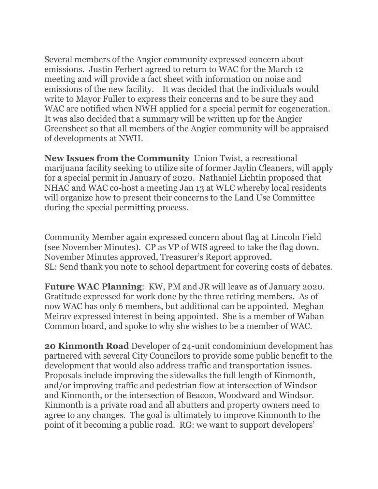Several members of the Angier community expressed concern about emissions. Justin Ferbert agreed to return to WAC for the March 12 meeting and will provide a fact sheet with information on noise and emissions of the new facility. It was decided that the individuals would write to Mayor Fuller to express their concerns and to be sure they and WAC are notified when NWH applied for a special permit for cogeneration. It was also decided that a summary will be written up for the Angier Greensheet so that all members of the Angier community will be appraised of developments at NWH.

**New Issues from the Community** Union Twist, a recreational marijuana facility seeking to utilize site of former Jaylin Cleaners, will apply for a special permit in January of 2020. Nathaniel Lichtin proposed that NHAC and WAC co-host a meeting Jan 13 at WLC whereby local residents will organize how to present their concerns to the Land Use Committee during the special permitting process.

Community Member again expressed concern about flag at Lincoln Field (see November Minutes). CP as VP of WIS agreed to take the flag down. November Minutes approved, Treasurer's Report approved. SL: Send thank you note to school department for covering costs of debates.

**Future WAC Planning**: KW, PM and JR will leave as of January 2020. Gratitude expressed for work done by the three retiring members. As of now WAC has only 6 members, but additional can be appointed. Meghan Meirav expressed interest in being appointed. She is a member of Waban Common board, and spoke to why she wishes to be a member of WAC.

**20 Kinmonth Road** Developer of 24-unit condominium development has partnered with several City Councilors to provide some public benefit to the development that would also address traffic and transportation issues. Proposals include improving the sidewalks the full length of Kinmonth, and/or improving traffic and pedestrian flow at intersection of Windsor and Kinmonth, or the intersection of Beacon, Woodward and Windsor. Kinmonth is a private road and all abutters and property owners need to agree to any changes. The goal is ultimately to improve Kinmonth to the point of it becoming a public road. RG: we want to support developers'